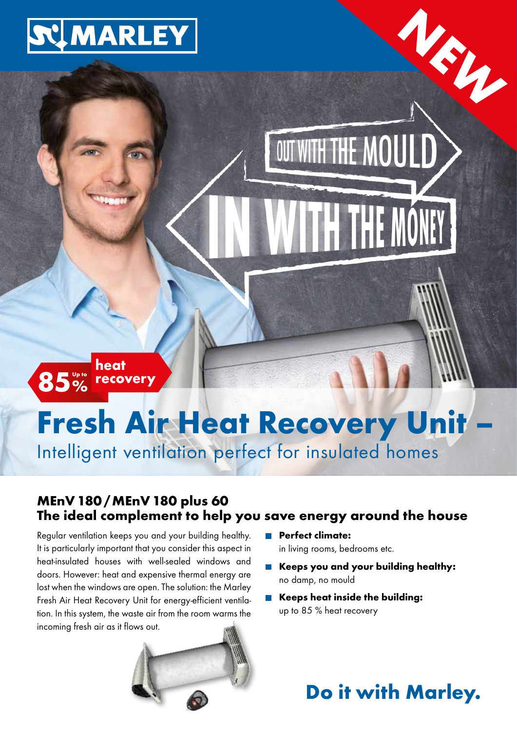

85% heat recovery

# **Fresh Air Heat Recovery Unit**

Intelligent ventilation perfect for insulated homes

### MEnV 180/MEnV 180 plus 60 The ideal complement to help you save energy around the house

Regular ventilation keeps you and your building healthy. It is particularly important that you consider this aspect in heat-insulated houses with well-sealed windows and doors. However: heat and expensive thermal energy are lost when the windows are open. The solution: the Marley Fresh Air Heat Recovery Unit for energy-efficient ventilation. In this system, the waste air from the room warms the incoming fresh air as it flows out.



- **Perfect climate:** in living rooms, bedrooms etc.
- Keeps you and your building healthy: no damp, no mould

OUT WITH THE MOULD

Keeps heat inside the building: up to 85 % heat recovery

### Do it with Marley.

N.